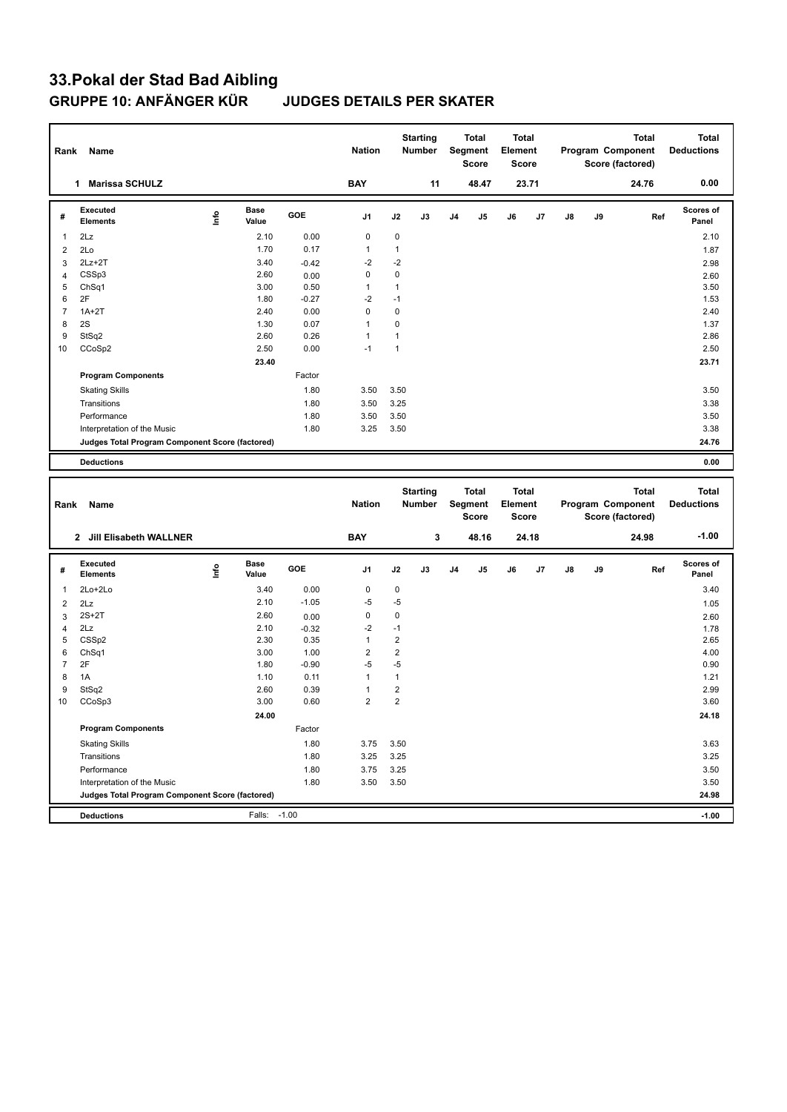| Rank           | Name                                            |      |                      |              | <b>Nation</b>  |                | <b>Starting</b><br>Number        |                | <b>Total</b><br>Segment<br><b>Score</b> | <b>Total</b><br>Element<br><b>Score</b> |       |    |    | Program Component<br>Score (factored) | <b>Total</b> | <b>Total</b><br><b>Deductions</b> |
|----------------|-------------------------------------------------|------|----------------------|--------------|----------------|----------------|----------------------------------|----------------|-----------------------------------------|-----------------------------------------|-------|----|----|---------------------------------------|--------------|-----------------------------------|
|                | 1 Marissa SCHULZ                                |      |                      |              | <b>BAY</b>     |                | 11                               |                | 48.47                                   |                                         | 23.71 |    |    |                                       | 24.76        | 0.00                              |
| #              | Executed<br><b>Elements</b>                     | lnfo | <b>Base</b><br>Value | GOE          | J <sub>1</sub> | J2             | J3                               | J <sub>4</sub> | J5                                      | J6                                      | J7    | J8 | J9 |                                       | Ref          | Scores of<br>Panel                |
| 1              | 2Lz                                             |      | 2.10                 | 0.00         | $\mathbf 0$    | $\mathbf 0$    |                                  |                |                                         |                                         |       |    |    |                                       |              | 2.10                              |
| $\overline{2}$ | 2Lo                                             |      | 1.70                 | 0.17         | $\mathbf{1}$   | $\mathbf{1}$   |                                  |                |                                         |                                         |       |    |    |                                       |              | 1.87                              |
| 3              | $2Lz + 2T$                                      |      | 3.40                 | $-0.42$      | $-2$           | $-2$           |                                  |                |                                         |                                         |       |    |    |                                       |              | 2.98                              |
| $\overline{4}$ | CSSp3                                           |      | 2.60                 | 0.00         | $\mathbf 0$    | $\mathbf 0$    |                                  |                |                                         |                                         |       |    |    |                                       |              | 2.60                              |
| 5              | ChSq1                                           |      | 3.00                 | 0.50         | $\mathbf{1}$   | $\mathbf{1}$   |                                  |                |                                         |                                         |       |    |    |                                       |              | 3.50                              |
| 6              | 2F                                              |      | 1.80                 | $-0.27$      | $-2$           | $-1$           |                                  |                |                                         |                                         |       |    |    |                                       |              | 1.53                              |
| $\overline{7}$ | $1A+2T$                                         |      | 2.40                 | 0.00         | $\mathbf 0$    | $\mathbf 0$    |                                  |                |                                         |                                         |       |    |    |                                       |              | 2.40                              |
| 8              | 2S                                              |      | 1.30                 | 0.07         | $\mathbf{1}$   | $\pmb{0}$      |                                  |                |                                         |                                         |       |    |    |                                       |              | 1.37                              |
| 9              | StSq2                                           |      | 2.60                 | 0.26         | $\mathbf{1}$   | $\mathbf{1}$   |                                  |                |                                         |                                         |       |    |    |                                       |              | 2.86                              |
| 10             | CCoSp2                                          |      | 2.50                 | 0.00         | $-1$           | $\mathbf{1}$   |                                  |                |                                         |                                         |       |    |    |                                       |              | 2.50                              |
|                |                                                 |      | 23.40                |              |                |                |                                  |                |                                         |                                         |       |    |    |                                       |              | 23.71                             |
|                | <b>Program Components</b>                       |      |                      | Factor       |                |                |                                  |                |                                         |                                         |       |    |    |                                       |              |                                   |
|                | <b>Skating Skills</b>                           |      |                      | 1.80         | 3.50           | 3.50           |                                  |                |                                         |                                         |       |    |    |                                       |              | 3.50                              |
|                | Transitions                                     |      |                      | 1.80         | 3.50           | 3.25           |                                  |                |                                         |                                         |       |    |    |                                       |              | 3.38                              |
|                | Performance                                     |      |                      | 1.80         | 3.50           | 3.50           |                                  |                |                                         |                                         |       |    |    |                                       |              | 3.50                              |
|                | Interpretation of the Music                     |      |                      | 1.80         | 3.25           | 3.50           |                                  |                |                                         |                                         |       |    |    |                                       |              | 3.38                              |
|                | Judges Total Program Component Score (factored) |      |                      |              |                |                |                                  |                |                                         |                                         |       |    |    |                                       |              | 24.76                             |
|                |                                                 |      |                      |              |                |                |                                  |                |                                         |                                         |       |    |    |                                       |              |                                   |
|                | <b>Deductions</b>                               |      |                      |              |                |                |                                  |                |                                         |                                         |       |    |    |                                       |              | 0.00                              |
|                |                                                 |      |                      |              |                |                |                                  |                |                                         |                                         |       |    |    |                                       |              |                                   |
| Rank           | Name                                            |      |                      |              | <b>Nation</b>  |                | <b>Starting</b><br><b>Number</b> |                | <b>Total</b><br>Segment<br><b>Score</b> | <b>Total</b><br>Element<br><b>Score</b> |       |    |    | Program Component<br>Score (factored) | <b>Total</b> | <b>Total</b><br><b>Deductions</b> |
|                | 2 Jill Elisabeth WALLNER                        |      |                      |              | <b>BAY</b>     |                | 3                                |                | 48.16                                   |                                         | 24.18 |    |    |                                       | 24.98        | $-1.00$                           |
| #              | Executed                                        |      | <b>Base</b>          | GOE          | J1             | J2             | J3                               | J <sub>4</sub> | J5                                      | J6                                      | J7    | J8 | J9 |                                       | Ref          | <b>Scores of</b>                  |
|                | Elements                                        | lnfo | Value                |              |                |                |                                  |                |                                         |                                         |       |    |    |                                       |              | Panel                             |
| 1              | 2Lo+2Lo                                         |      | 3.40                 | 0.00         | $\mathbf 0$    | $\mathbf 0$    |                                  |                |                                         |                                         |       |    |    |                                       |              | 3.40                              |
| $\overline{2}$ | 2Lz                                             |      | 2.10                 | $-1.05$      | $-5$           | $-5$           |                                  |                |                                         |                                         |       |    |    |                                       |              | 1.05                              |
| 3              | $2S+2T$                                         |      | 2.60                 | 0.00         | 0              | $\pmb{0}$      |                                  |                |                                         |                                         |       |    |    |                                       |              | 2.60                              |
| 4              | 2Lz                                             |      | 2.10                 | $-0.32$      | $-2$           | $-1$           |                                  |                |                                         |                                         |       |    |    |                                       |              | 1.78                              |
| 5              | CSS <sub>p2</sub>                               |      | 2.30                 | 0.35         | $\mathbf{1}$   | $\overline{2}$ |                                  |                |                                         |                                         |       |    |    |                                       |              | 2.65                              |
| 6              | ChSq1                                           |      | 3.00                 | 1.00         | $\overline{2}$ | $\overline{2}$ |                                  |                |                                         |                                         |       |    |    |                                       |              | 4.00                              |
| $\overline{7}$ | 2F                                              |      | 1.80                 | $-0.90$      | $-5$           | $-5$           |                                  |                |                                         |                                         |       |    |    |                                       |              | 0.90                              |
| 8              | 1A                                              |      | 1.10                 | 0.11         | $\mathbf{1}$   | $\mathbf{1}$   |                                  |                |                                         |                                         |       |    |    |                                       |              | 1.21                              |
| 9              | StSq2                                           |      | 2.60                 | 0.39         | $\mathbf{1}$   | $\overline{2}$ |                                  |                |                                         |                                         |       |    |    |                                       |              | 2.99                              |
| 10             | CCoSp3                                          |      | 3.00                 | 0.60         | $\overline{2}$ | $\overline{2}$ |                                  |                |                                         |                                         |       |    |    |                                       |              | 3.60                              |
|                |                                                 |      | 24.00                |              |                |                |                                  |                |                                         |                                         |       |    |    |                                       |              | 24.18                             |
|                | <b>Program Components</b>                       |      |                      | Factor       |                |                |                                  |                |                                         |                                         |       |    |    |                                       |              |                                   |
|                | <b>Skating Skills</b>                           |      |                      | 1.80         | 3.75           | 3.50           |                                  |                |                                         |                                         |       |    |    |                                       |              | 3.63                              |
|                | Transitions                                     |      |                      | 1.80         | 3.25           | 3.25           |                                  |                |                                         |                                         |       |    |    |                                       |              | 3.25                              |
|                | Performance<br>Interpretation of the Music      |      |                      | 1.80<br>1.80 | 3.75<br>3.50   | 3.25<br>3.50   |                                  |                |                                         |                                         |       |    |    |                                       |              | 3.50<br>3.50                      |

**Deductions** Falls: -1.00 **-1.00 Judges Total Program Component Score (factored) 24.98**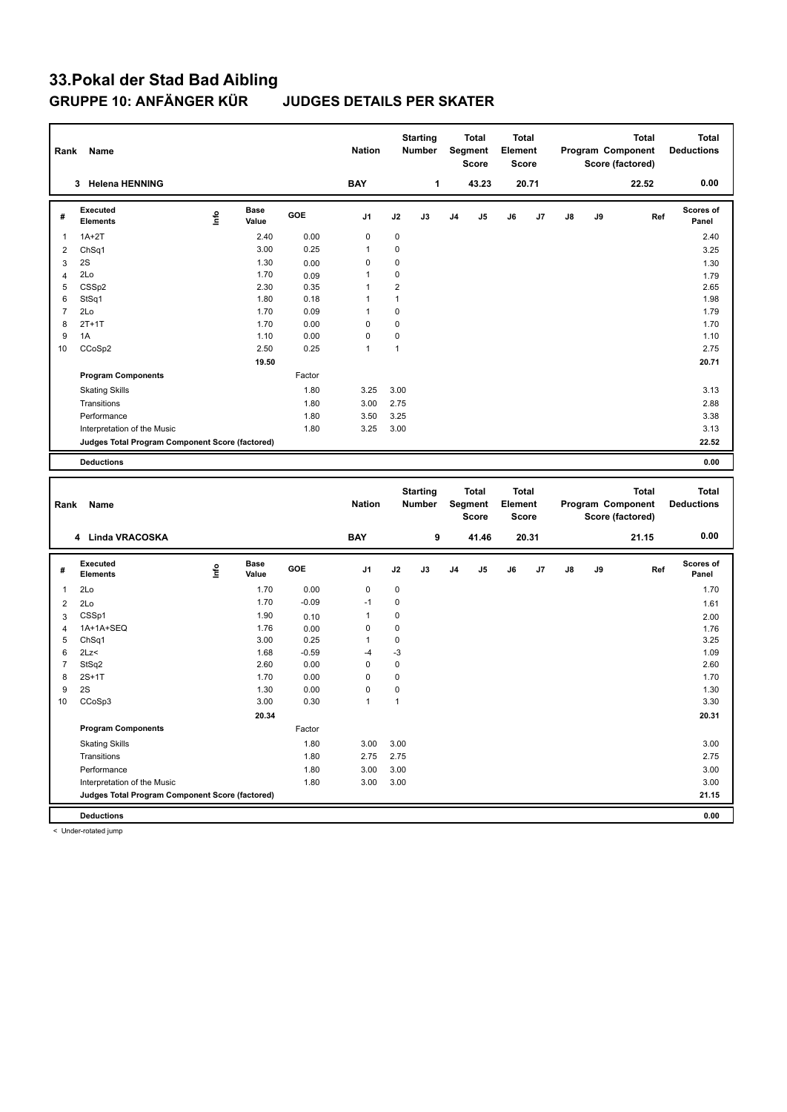| Rank           | Name                                            |      |                      |         | <b>Nation</b> |                | <b>Starting</b><br>Number        |    | Total<br>Segment<br><b>Score</b>               | <b>Total</b><br>Element | <b>Score</b> |    |    | <b>Total</b><br>Program Component<br>Score (factored) |     | Total<br><b>Deductions</b>        |
|----------------|-------------------------------------------------|------|----------------------|---------|---------------|----------------|----------------------------------|----|------------------------------------------------|-------------------------|--------------|----|----|-------------------------------------------------------|-----|-----------------------------------|
|                | 3 Helena HENNING                                |      |                      |         | <b>BAY</b>    |                | 1                                |    | 43.23                                          |                         | 20.71        |    |    | 22.52                                                 |     | 0.00                              |
| #              | <b>Executed</b><br><b>Elements</b>              | lnfo | <b>Base</b><br>Value | GOE     | J1            | J2             | J3                               | J4 | J5                                             | J6                      | J7           | J8 | J9 |                                                       | Ref | Scores of<br>Panel                |
| 1              | $1A+2T$                                         |      | 2.40                 | 0.00    | 0             | $\mathbf 0$    |                                  |    |                                                |                         |              |    |    |                                                       |     | 2.40                              |
| 2              | Ch <sub>Sq1</sub>                               |      | 3.00                 | 0.25    | 1             | $\mathbf 0$    |                                  |    |                                                |                         |              |    |    |                                                       |     | 3.25                              |
| 3              | 2S                                              |      | 1.30                 | 0.00    | 0             | $\mathbf 0$    |                                  |    |                                                |                         |              |    |    |                                                       |     | 1.30                              |
| 4              | 2Lo                                             |      | 1.70                 | 0.09    | 1             | $\mathbf 0$    |                                  |    |                                                |                         |              |    |    |                                                       |     | 1.79                              |
| 5              | CSS <sub>p2</sub>                               |      | 2.30                 | 0.35    | 1             | $\overline{2}$ |                                  |    |                                                |                         |              |    |    |                                                       |     | 2.65                              |
| 6              | StSq1                                           |      | 1.80                 | 0.18    | 1             | $\mathbf{1}$   |                                  |    |                                                |                         |              |    |    |                                                       |     | 1.98                              |
| $\overline{7}$ | 2Lo                                             |      | 1.70                 | 0.09    | 1             | $\mathbf 0$    |                                  |    |                                                |                         |              |    |    |                                                       |     | 1.79                              |
| 8              | $2T+1T$                                         |      | 1.70                 | 0.00    | $\pmb{0}$     | $\mathbf 0$    |                                  |    |                                                |                         |              |    |    |                                                       |     | 1.70                              |
| 9              | 1A                                              |      | 1.10                 | 0.00    | 0             | $\mathbf 0$    |                                  |    |                                                |                         |              |    |    |                                                       |     | 1.10                              |
| 10             | CCoSp2                                          |      | 2.50                 | 0.25    | $\mathbf{1}$  | $\mathbf{1}$   |                                  |    |                                                |                         |              |    |    |                                                       |     | 2.75                              |
|                |                                                 |      | 19.50                |         |               |                |                                  |    |                                                |                         |              |    |    |                                                       |     | 20.71                             |
|                | <b>Program Components</b>                       |      |                      | Factor  |               |                |                                  |    |                                                |                         |              |    |    |                                                       |     |                                   |
|                | <b>Skating Skills</b>                           |      |                      | 1.80    | 3.25          | 3.00           |                                  |    |                                                |                         |              |    |    |                                                       |     | 3.13                              |
|                | Transitions                                     |      |                      | 1.80    | 3.00          | 2.75           |                                  |    |                                                |                         |              |    |    |                                                       |     | 2.88                              |
|                | Performance                                     |      |                      | 1.80    | 3.50          | 3.25           |                                  |    |                                                |                         |              |    |    |                                                       |     | 3.38                              |
|                | Interpretation of the Music                     |      |                      | 1.80    | 3.25          | 3.00           |                                  |    |                                                |                         |              |    |    |                                                       |     | 3.13                              |
|                | Judges Total Program Component Score (factored) |      |                      |         |               |                |                                  |    |                                                |                         |              |    |    |                                                       |     | 22.52                             |
|                | <b>Deductions</b>                               |      |                      |         |               |                |                                  |    |                                                |                         |              |    |    |                                                       |     | 0.00                              |
|                |                                                 |      |                      |         |               |                |                                  |    |                                                |                         |              |    |    |                                                       |     |                                   |
|                |                                                 |      |                      |         |               |                |                                  |    |                                                |                         |              |    |    |                                                       |     |                                   |
| Rank           | Name                                            |      |                      |         | <b>Nation</b> |                | <b>Starting</b><br><b>Number</b> |    | <b>Total</b><br><b>Segment</b><br><b>Score</b> | <b>Total</b><br>Element | <b>Score</b> |    |    | <b>Total</b><br>Program Component<br>Score (factored) |     | <b>Total</b><br><b>Deductions</b> |
|                | 4 Linda VRACOSKA                                |      |                      |         | <b>BAY</b>    |                | 9                                |    | 41.46                                          |                         | 20.31        |    |    | 21.15                                                 |     | 0.00                              |
| #              | <b>Executed</b><br><b>Elements</b>              | lnfo | Base<br>Value        | GOE     | J1            | J2             | J3                               | J4 | J5                                             | J6                      | J7           | J8 | J9 |                                                       | Ref | Scores of<br>Panel                |
| $\mathbf{1}$   | 2Lo                                             |      | 1.70                 | 0.00    | 0             | $\pmb{0}$      |                                  |    |                                                |                         |              |    |    |                                                       |     | 1.70                              |
| $\overline{2}$ | 2Lo                                             |      | 1.70                 | $-0.09$ | $-1$          | $\mathbf 0$    |                                  |    |                                                |                         |              |    |    |                                                       |     | 1.61                              |
| 3              | CSSp1                                           |      | 1.90                 | 0.10    | $\mathbf{1}$  | $\mathbf 0$    |                                  |    |                                                |                         |              |    |    |                                                       |     |                                   |
| $\overline{4}$ | 1A+1A+SEQ                                       |      | 1.76                 | 0.00    | 0             | $\mathbf 0$    |                                  |    |                                                |                         |              |    |    |                                                       |     | 2.00<br>1.76                      |
| 5              | ChSq1                                           |      | 3.00                 | 0.25    | $\mathbf{1}$  | $\pmb{0}$      |                                  |    |                                                |                         |              |    |    |                                                       |     | 3.25                              |
| 6              | 2Lz<                                            |      | 1.68                 | $-0.59$ | $-4$          | $-3$           |                                  |    |                                                |                         |              |    |    |                                                       |     | 1.09                              |
| $\overline{7}$ | StSq2                                           |      | 2.60                 | 0.00    | 0             | $\mathbf 0$    |                                  |    |                                                |                         |              |    |    |                                                       |     | 2.60                              |
| 8              | $2S+1T$                                         |      | 1.70                 | 0.00    | 0             | $\mathbf 0$    |                                  |    |                                                |                         |              |    |    |                                                       |     | 1.70                              |
| 9              | 2S                                              |      | 1.30                 | 0.00    | $\pmb{0}$     | $\mathbf 0$    |                                  |    |                                                |                         |              |    |    |                                                       |     | 1.30                              |
| 10             | CCoSp3                                          |      | 3.00                 | 0.30    | 1             | $\mathbf{1}$   |                                  |    |                                                |                         |              |    |    |                                                       |     | 3.30                              |
|                |                                                 |      | 20.34                |         |               |                |                                  |    |                                                |                         |              |    |    |                                                       |     | 20.31                             |
|                | <b>Program Components</b>                       |      |                      | Factor  |               |                |                                  |    |                                                |                         |              |    |    |                                                       |     |                                   |
|                | <b>Skating Skills</b>                           |      |                      | 1.80    | 3.00          | 3.00           |                                  |    |                                                |                         |              |    |    |                                                       |     | 3.00                              |
|                | Transitions                                     |      |                      | 1.80    | 2.75          | 2.75           |                                  |    |                                                |                         |              |    |    |                                                       |     | 2.75                              |
|                | Performance                                     |      |                      | 1.80    | 3.00          | 3.00           |                                  |    |                                                |                         |              |    |    |                                                       |     | 3.00                              |
|                | Interpretation of the Music                     |      |                      | 1.80    | 3.00          | 3.00           |                                  |    |                                                |                         |              |    |    |                                                       |     | 3.00                              |
|                | Judges Total Program Component Score (factored) |      |                      |         |               |                |                                  |    |                                                |                         |              |    |    |                                                       |     | 21.15                             |

< Under-rotated jump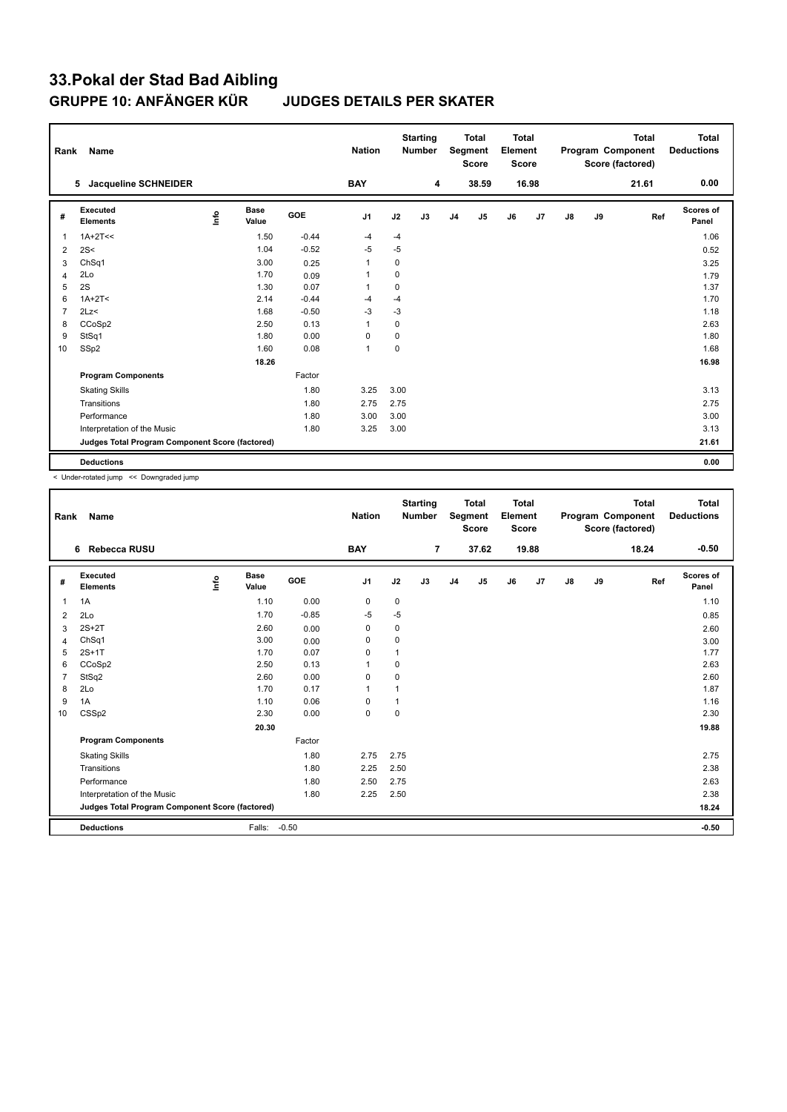| Rank           | <b>Name</b>                                     |                                  |                      |         | <b>Nation</b>  |             | <b>Starting</b><br><b>Number</b> |                | <b>Total</b><br>Segment<br><b>Score</b> | <b>Total</b><br>Element<br><b>Score</b> |       |               |    | <b>Total</b><br>Program Component<br>Score (factored) | Total<br><b>Deductions</b> |
|----------------|-------------------------------------------------|----------------------------------|----------------------|---------|----------------|-------------|----------------------------------|----------------|-----------------------------------------|-----------------------------------------|-------|---------------|----|-------------------------------------------------------|----------------------------|
|                | Jacqueline SCHNEIDER<br>5                       |                                  |                      |         | <b>BAY</b>     |             | 4                                |                | 38.59                                   |                                         | 16.98 |               |    | 21.61                                                 | 0.00                       |
| #              | Executed<br><b>Elements</b>                     | $\mathop{\mathsf{Int}}\nolimits$ | <b>Base</b><br>Value | GOE     | J <sub>1</sub> | J2          | J3                               | J <sub>4</sub> | J5                                      | J6                                      | J7    | $\mathsf{J}8$ | J9 | Ref                                                   | Scores of<br>Panel         |
| $\overline{1}$ | $1A+2T<<$                                       |                                  | 1.50                 | $-0.44$ | $-4$           | $-4$        |                                  |                |                                         |                                         |       |               |    |                                                       | 1.06                       |
| 2              | 2S<                                             |                                  | 1.04                 | $-0.52$ | $-5$           | $-5$        |                                  |                |                                         |                                         |       |               |    |                                                       | 0.52                       |
| 3              | ChSq1                                           |                                  | 3.00                 | 0.25    | $\mathbf{1}$   | 0           |                                  |                |                                         |                                         |       |               |    |                                                       | 3.25                       |
| $\overline{4}$ | 2Lo                                             |                                  | 1.70                 | 0.09    | 1              | 0           |                                  |                |                                         |                                         |       |               |    |                                                       | 1.79                       |
| 5              | 2S                                              |                                  | 1.30                 | 0.07    | 1              | 0           |                                  |                |                                         |                                         |       |               |    |                                                       | 1.37                       |
| 6              | $1A+2T2$                                        |                                  | 2.14                 | $-0.44$ | $-4$           | $-4$        |                                  |                |                                         |                                         |       |               |    |                                                       | 1.70                       |
| $\overline{7}$ | 2Lz<                                            |                                  | 1.68                 | $-0.50$ | $-3$           | $-3$        |                                  |                |                                         |                                         |       |               |    |                                                       | 1.18                       |
| 8              | CCoSp2                                          |                                  | 2.50                 | 0.13    | 1              | 0           |                                  |                |                                         |                                         |       |               |    |                                                       | 2.63                       |
| 9              | StSq1                                           |                                  | 1.80                 | 0.00    | 0              | 0           |                                  |                |                                         |                                         |       |               |    |                                                       | 1.80                       |
| 10             | SSp2                                            |                                  | 1.60                 | 0.08    | $\mathbf{1}$   | $\mathbf 0$ |                                  |                |                                         |                                         |       |               |    |                                                       | 1.68                       |
|                |                                                 |                                  | 18.26                |         |                |             |                                  |                |                                         |                                         |       |               |    |                                                       | 16.98                      |
|                | <b>Program Components</b>                       |                                  |                      | Factor  |                |             |                                  |                |                                         |                                         |       |               |    |                                                       |                            |
|                | <b>Skating Skills</b>                           |                                  |                      | 1.80    | 3.25           | 3.00        |                                  |                |                                         |                                         |       |               |    |                                                       | 3.13                       |
|                | Transitions                                     |                                  |                      | 1.80    | 2.75           | 2.75        |                                  |                |                                         |                                         |       |               |    |                                                       | 2.75                       |
|                | Performance                                     |                                  |                      | 1.80    | 3.00           | 3.00        |                                  |                |                                         |                                         |       |               |    |                                                       | 3.00                       |
|                | Interpretation of the Music                     |                                  |                      | 1.80    | 3.25           | 3.00        |                                  |                |                                         |                                         |       |               |    |                                                       | 3.13                       |
|                | Judges Total Program Component Score (factored) |                                  |                      |         |                |             |                                  |                |                                         |                                         |       |               |    |                                                       | 21.61                      |
|                | <b>Deductions</b>                               |                                  |                      |         |                |             |                                  |                |                                         |                                         |       |               |    |                                                       | 0.00                       |

< Under-rotated jump << Downgraded jump

| Rank           | Name                                            |    |               |         | <b>Nation</b>  |             | <b>Starting</b><br><b>Number</b> |                | <b>Total</b><br>Segment<br><b>Score</b> | <b>Total</b><br>Element<br><b>Score</b> |                |    |    | <b>Total</b><br>Program Component<br>Score (factored) | <b>Total</b><br><b>Deductions</b> |
|----------------|-------------------------------------------------|----|---------------|---------|----------------|-------------|----------------------------------|----------------|-----------------------------------------|-----------------------------------------|----------------|----|----|-------------------------------------------------------|-----------------------------------|
|                | 6 Rebecca RUSU                                  |    |               |         | <b>BAY</b>     |             | $\overline{7}$                   |                | 37.62                                   |                                         | 19.88          |    |    | 18.24                                                 | $-0.50$                           |
| #              | Executed<br><b>Elements</b>                     | ١m | Base<br>Value | GOE     | J <sub>1</sub> | J2          | J3                               | J <sub>4</sub> | J <sub>5</sub>                          | J6                                      | J <sub>7</sub> | J8 | J9 | Ref                                                   | Scores of<br>Panel                |
| 1              | 1A                                              |    | 1.10          | 0.00    | $\pmb{0}$      | $\mathbf 0$ |                                  |                |                                         |                                         |                |    |    |                                                       | 1.10                              |
| 2              | 2Lo                                             |    | 1.70          | $-0.85$ | $-5$           | $-5$        |                                  |                |                                         |                                         |                |    |    |                                                       | 0.85                              |
| 3              | $2S+2T$                                         |    | 2.60          | 0.00    | 0              | 0           |                                  |                |                                         |                                         |                |    |    |                                                       | 2.60                              |
| 4              | ChSq1                                           |    | 3.00          | 0.00    | 0              | $\mathbf 0$ |                                  |                |                                         |                                         |                |    |    |                                                       | 3.00                              |
| 5              | $2S+1T$                                         |    | 1.70          | 0.07    | 0              | 1           |                                  |                |                                         |                                         |                |    |    |                                                       | 1.77                              |
| 6              | CCoSp2                                          |    | 2.50          | 0.13    | 1              | 0           |                                  |                |                                         |                                         |                |    |    |                                                       | 2.63                              |
| $\overline{7}$ | StSq2                                           |    | 2.60          | 0.00    | 0              | $\mathbf 0$ |                                  |                |                                         |                                         |                |    |    |                                                       | 2.60                              |
| 8              | 2Lo                                             |    | 1.70          | 0.17    | 1              |             |                                  |                |                                         |                                         |                |    |    |                                                       | 1.87                              |
| 9              | 1A                                              |    | 1.10          | 0.06    | 0              | 1           |                                  |                |                                         |                                         |                |    |    |                                                       | 1.16                              |
| 10             | CSSp2                                           |    | 2.30          | 0.00    | $\mathbf 0$    | $\mathbf 0$ |                                  |                |                                         |                                         |                |    |    |                                                       | 2.30                              |
|                |                                                 |    | 20.30         |         |                |             |                                  |                |                                         |                                         |                |    |    |                                                       | 19.88                             |
|                | <b>Program Components</b>                       |    |               | Factor  |                |             |                                  |                |                                         |                                         |                |    |    |                                                       |                                   |
|                | <b>Skating Skills</b>                           |    |               | 1.80    | 2.75           | 2.75        |                                  |                |                                         |                                         |                |    |    |                                                       | 2.75                              |
|                | Transitions                                     |    |               | 1.80    | 2.25           | 2.50        |                                  |                |                                         |                                         |                |    |    |                                                       | 2.38                              |
|                | Performance                                     |    |               | 1.80    | 2.50           | 2.75        |                                  |                |                                         |                                         |                |    |    |                                                       | 2.63                              |
|                | Interpretation of the Music                     |    |               | 1.80    | 2.25           | 2.50        |                                  |                |                                         |                                         |                |    |    |                                                       | 2.38                              |
|                | Judges Total Program Component Score (factored) |    |               |         |                |             |                                  |                |                                         |                                         |                |    |    |                                                       | 18.24                             |
|                | <b>Deductions</b>                               |    | Falls:        | $-0.50$ |                |             |                                  |                |                                         |                                         |                |    |    |                                                       | $-0.50$                           |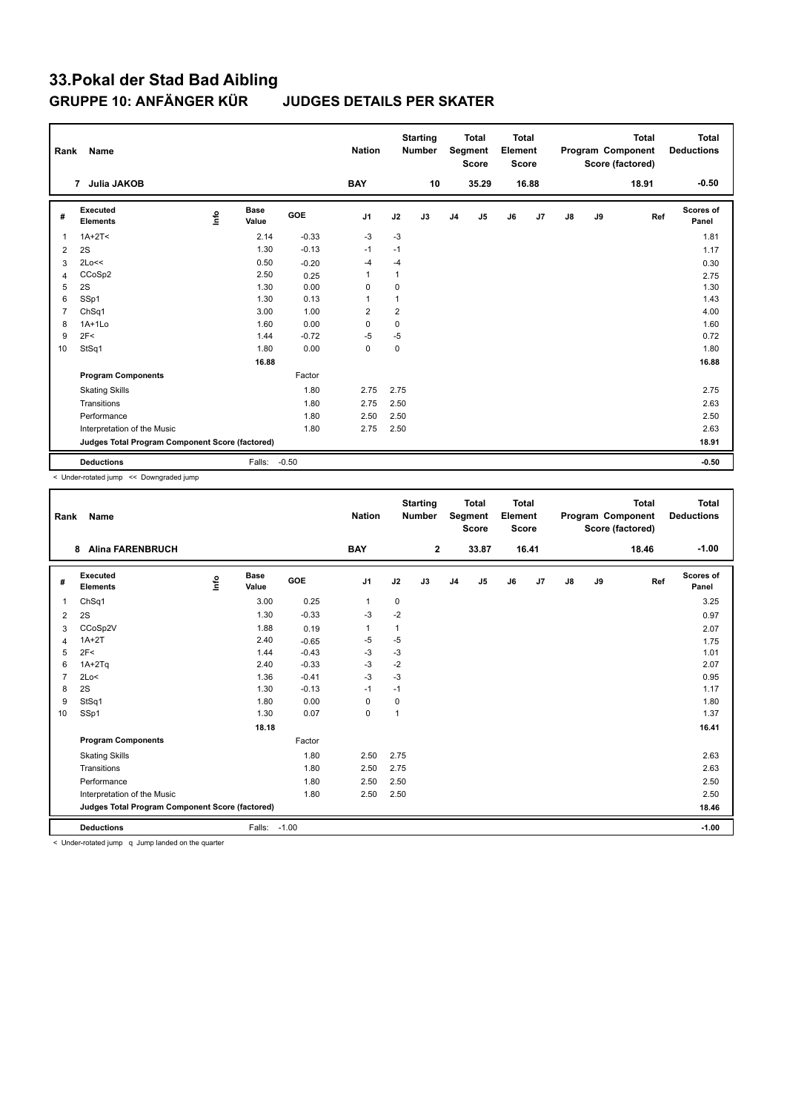| Rank           | Name                                            |      |                      |         | <b>Nation</b>  |             | <b>Starting</b><br><b>Number</b> |                | <b>Total</b><br>Segment<br><b>Score</b> | <b>Total</b><br>Element<br><b>Score</b> |       |               |    | <b>Total</b><br>Program Component<br>Score (factored) | <b>Total</b><br><b>Deductions</b> |
|----------------|-------------------------------------------------|------|----------------------|---------|----------------|-------------|----------------------------------|----------------|-----------------------------------------|-----------------------------------------|-------|---------------|----|-------------------------------------------------------|-----------------------------------|
|                | 7 Julia JAKOB                                   |      |                      |         | <b>BAY</b>     |             | 10                               |                | 35.29                                   |                                         | 16.88 |               |    | 18.91                                                 | $-0.50$                           |
| #              | <b>Executed</b><br><b>Elements</b>              | lnfo | <b>Base</b><br>Value | GOE     | J <sub>1</sub> | J2          | J3                               | J <sub>4</sub> | $\mathsf{J}5$                           | J6                                      | J7    | $\mathsf{J}8$ | J9 | Ref                                                   | Scores of<br>Panel                |
| $\overline{1}$ | $1A+2T2$                                        |      | 2.14                 | $-0.33$ | $-3$           | $-3$        |                                  |                |                                         |                                         |       |               |    |                                                       | 1.81                              |
| 2              | 2S                                              |      | 1.30                 | $-0.13$ | $-1$           | $-1$        |                                  |                |                                         |                                         |       |               |    |                                                       | 1.17                              |
| 3              | 2Lo<<                                           |      | 0.50                 | $-0.20$ | $-4$           | $-4$        |                                  |                |                                         |                                         |       |               |    |                                                       | 0.30                              |
| 4              | CCoSp2                                          |      | 2.50                 | 0.25    | 1              | $\mathbf 1$ |                                  |                |                                         |                                         |       |               |    |                                                       | 2.75                              |
| 5              | 2S                                              |      | 1.30                 | 0.00    | 0              | 0           |                                  |                |                                         |                                         |       |               |    |                                                       | 1.30                              |
| 6              | SSp1                                            |      | 1.30                 | 0.13    | 1              |             |                                  |                |                                         |                                         |       |               |    |                                                       | 1.43                              |
| $\overline{7}$ | ChSq1                                           |      | 3.00                 | 1.00    | $\overline{2}$ | 2           |                                  |                |                                         |                                         |       |               |    |                                                       | 4.00                              |
| 8              | $1A+1Lo$                                        |      | 1.60                 | 0.00    | $\Omega$       | $\mathbf 0$ |                                  |                |                                         |                                         |       |               |    |                                                       | 1.60                              |
| 9              | 2F<                                             |      | 1.44                 | $-0.72$ | $-5$           | $-5$        |                                  |                |                                         |                                         |       |               |    |                                                       | 0.72                              |
| 10             | StSq1                                           |      | 1.80                 | 0.00    | $\mathbf 0$    | $\mathbf 0$ |                                  |                |                                         |                                         |       |               |    |                                                       | 1.80                              |
|                |                                                 |      | 16.88                |         |                |             |                                  |                |                                         |                                         |       |               |    |                                                       | 16.88                             |
|                | <b>Program Components</b>                       |      |                      | Factor  |                |             |                                  |                |                                         |                                         |       |               |    |                                                       |                                   |
|                | <b>Skating Skills</b>                           |      |                      | 1.80    | 2.75           | 2.75        |                                  |                |                                         |                                         |       |               |    |                                                       | 2.75                              |
|                | Transitions                                     |      |                      | 1.80    | 2.75           | 2.50        |                                  |                |                                         |                                         |       |               |    |                                                       | 2.63                              |
|                | Performance                                     |      |                      | 1.80    | 2.50           | 2.50        |                                  |                |                                         |                                         |       |               |    |                                                       | 2.50                              |
|                | Interpretation of the Music                     |      |                      | 1.80    | 2.75           | 2.50        |                                  |                |                                         |                                         |       |               |    |                                                       | 2.63                              |
|                | Judges Total Program Component Score (factored) |      |                      |         |                |             |                                  |                |                                         |                                         |       |               |    |                                                       | 18.91                             |
|                | <b>Deductions</b>                               |      | Falls: -0.50         |         |                |             |                                  |                |                                         |                                         |       |               |    |                                                       | $-0.50$                           |

< Under-rotated jump << Downgraded jump

| Rank           | Name                                            |      |               |         | <b>Nation</b> |              | <b>Starting</b><br><b>Number</b> |                | <b>Total</b><br>Segment<br><b>Score</b> | Total<br>Element<br><b>Score</b> |       |               |    | <b>Total</b><br>Program Component<br>Score (factored) | Total<br><b>Deductions</b> |
|----------------|-------------------------------------------------|------|---------------|---------|---------------|--------------|----------------------------------|----------------|-----------------------------------------|----------------------------------|-------|---------------|----|-------------------------------------------------------|----------------------------|
|                | <b>Alina FARENBRUCH</b><br>8                    |      |               |         | <b>BAY</b>    |              | $\mathbf{2}$                     |                | 33.87                                   |                                  | 16.41 |               |    | 18.46                                                 | $-1.00$                    |
| #              | Executed<br><b>Elements</b>                     | ١mfo | Base<br>Value | GOE     | J1            | J2           | J3                               | J <sub>4</sub> | J5                                      | J6                               | J7    | $\mathsf{J}8$ | J9 | Ref                                                   | Scores of<br>Panel         |
| 1              | Ch <sub>Sq1</sub>                               |      | 3.00          | 0.25    | $\mathbf{1}$  | $\mathbf 0$  |                                  |                |                                         |                                  |       |               |    |                                                       | 3.25                       |
| 2              | 2S                                              |      | 1.30          | $-0.33$ | $-3$          | $-2$         |                                  |                |                                         |                                  |       |               |    |                                                       | 0.97                       |
| 3              | CCoSp2V                                         |      | 1.88          | 0.19    | $\mathbf 1$   | 1            |                                  |                |                                         |                                  |       |               |    |                                                       | 2.07                       |
| 4              | $1A+2T$                                         |      | 2.40          | $-0.65$ | $-5$          | $-5$         |                                  |                |                                         |                                  |       |               |    |                                                       | 1.75                       |
| 5              | 2F<                                             |      | 1.44          | $-0.43$ | $-3$          | -3           |                                  |                |                                         |                                  |       |               |    |                                                       | 1.01                       |
| 6              | $1A+2Tq$                                        |      | 2.40          | $-0.33$ | $-3$          | $-2$         |                                  |                |                                         |                                  |       |               |    |                                                       | 2.07                       |
| $\overline{7}$ | 2Lo<                                            |      | 1.36          | $-0.41$ | $-3$          | $-3$         |                                  |                |                                         |                                  |       |               |    |                                                       | 0.95                       |
| 8              | 2S                                              |      | 1.30          | $-0.13$ | $-1$          | $-1$         |                                  |                |                                         |                                  |       |               |    |                                                       | 1.17                       |
| 9              | StSq1                                           |      | 1.80          | 0.00    | $\Omega$      | $\mathbf 0$  |                                  |                |                                         |                                  |       |               |    |                                                       | 1.80                       |
| 10             | SSp1                                            |      | 1.30          | 0.07    | $\mathbf 0$   | $\mathbf{1}$ |                                  |                |                                         |                                  |       |               |    |                                                       | 1.37                       |
|                |                                                 |      | 18.18         |         |               |              |                                  |                |                                         |                                  |       |               |    |                                                       | 16.41                      |
|                | <b>Program Components</b>                       |      |               | Factor  |               |              |                                  |                |                                         |                                  |       |               |    |                                                       |                            |
|                | <b>Skating Skills</b>                           |      |               | 1.80    | 2.50          | 2.75         |                                  |                |                                         |                                  |       |               |    |                                                       | 2.63                       |
|                | Transitions                                     |      |               | 1.80    | 2.50          | 2.75         |                                  |                |                                         |                                  |       |               |    |                                                       | 2.63                       |
|                | Performance                                     |      |               | 1.80    | 2.50          | 2.50         |                                  |                |                                         |                                  |       |               |    |                                                       | 2.50                       |
|                | Interpretation of the Music                     |      |               | 1.80    | 2.50          | 2.50         |                                  |                |                                         |                                  |       |               |    |                                                       | 2.50                       |
|                | Judges Total Program Component Score (factored) |      |               |         |               |              |                                  |                |                                         |                                  |       |               |    |                                                       | 18.46                      |
|                | <b>Deductions</b>                               |      | Falls:        | $-1.00$ |               |              |                                  |                |                                         |                                  |       |               |    |                                                       | $-1.00$                    |

< Under-rotated jump q Jump landed on the quarter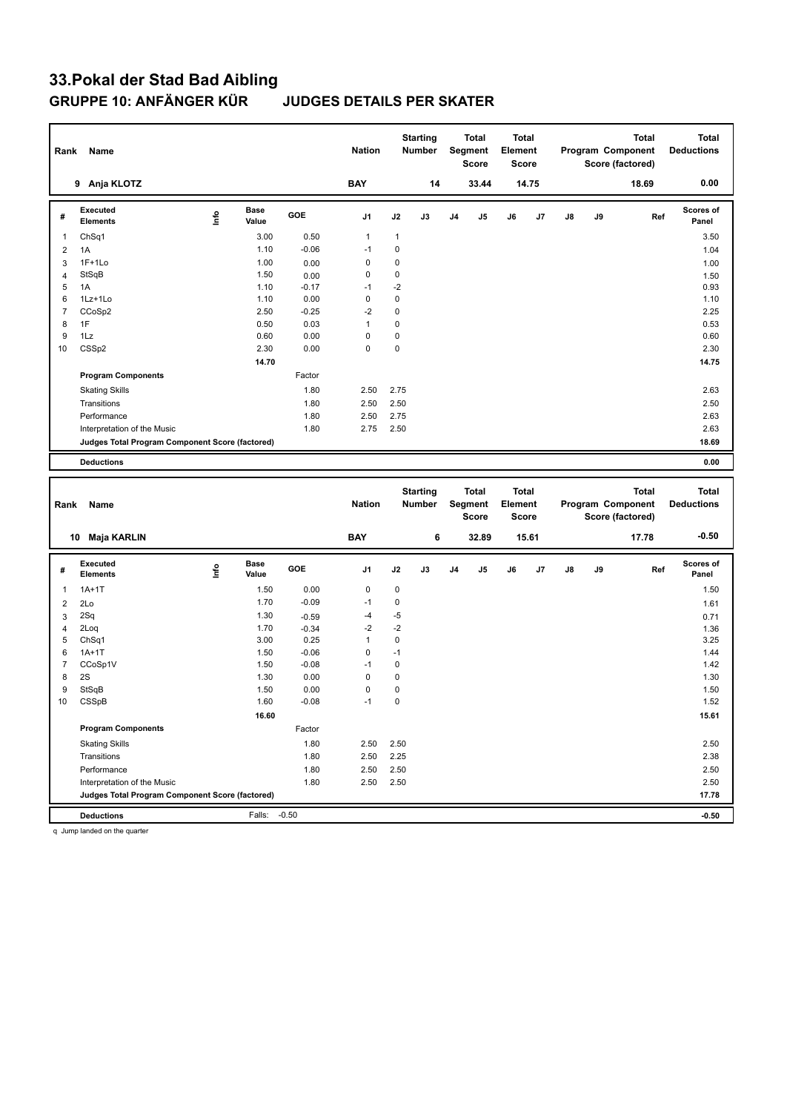| 9 Anja KLOTZ<br><b>BAY</b><br>14<br>33.44<br>14.75<br>18.69<br><b>Executed</b><br><b>Base</b><br>lnfo<br>GOE<br>J <sub>1</sub><br>J2<br>J3<br>J4<br>$\mathsf{J}5$<br>J6<br>J7<br>J8<br>J9<br>#<br><b>Elements</b><br>Value<br>ChSq1<br>3.00<br>0.50<br>$\mathbf{1}$<br>$\mathbf{1}$<br>$\mathbf{1}$<br>0<br>1.10<br>$-0.06$<br>$-1$<br>$\overline{2}$<br>1A<br>$\mathbf 0$<br>0<br>$1F+1Lo$<br>1.00<br>3<br>0.00<br>$\mathbf 0$<br>0<br>StSqB<br>1.50<br>$\overline{4}$<br>0.00<br>$-2$<br>5<br>1A<br>1.10<br>$-0.17$<br>$-1$<br>$\pmb{0}$<br>0<br>6<br>1Lz+1Lo<br>1.10<br>0.00<br>$-2$<br>0<br>$\overline{7}$<br>2.50<br>$-0.25$<br>CCoSp2<br>8<br>1F<br>0.50<br>0.03<br>$\mathbf{1}$<br>0<br>$\mathbf 0$<br>0<br>9<br>0.60<br>1Lz<br>0.00 | 0.00<br>Scores of<br>Panel<br>3.50<br>1.04<br>1.00<br>1.50<br>0.93<br>1.10<br>2.25 | Ref   |  | Element<br><b>Score</b> | <b>Total</b><br>Segment<br>Score | <b>Starting</b><br><b>Number</b> |   | <b>Nation</b> |      |      | Name              | Rank |
|---------------------------------------------------------------------------------------------------------------------------------------------------------------------------------------------------------------------------------------------------------------------------------------------------------------------------------------------------------------------------------------------------------------------------------------------------------------------------------------------------------------------------------------------------------------------------------------------------------------------------------------------------------------------------------------------------------------------------------------------|------------------------------------------------------------------------------------|-------|--|-------------------------|----------------------------------|----------------------------------|---|---------------|------|------|-------------------|------|
|                                                                                                                                                                                                                                                                                                                                                                                                                                                                                                                                                                                                                                                                                                                                             |                                                                                    |       |  |                         |                                  |                                  |   |               |      |      |                   |      |
|                                                                                                                                                                                                                                                                                                                                                                                                                                                                                                                                                                                                                                                                                                                                             |                                                                                    |       |  |                         |                                  |                                  |   |               |      |      |                   |      |
|                                                                                                                                                                                                                                                                                                                                                                                                                                                                                                                                                                                                                                                                                                                                             |                                                                                    |       |  |                         |                                  |                                  |   |               |      |      |                   |      |
|                                                                                                                                                                                                                                                                                                                                                                                                                                                                                                                                                                                                                                                                                                                                             |                                                                                    |       |  |                         |                                  |                                  |   |               |      |      |                   |      |
|                                                                                                                                                                                                                                                                                                                                                                                                                                                                                                                                                                                                                                                                                                                                             |                                                                                    |       |  |                         |                                  |                                  |   |               |      |      |                   |      |
|                                                                                                                                                                                                                                                                                                                                                                                                                                                                                                                                                                                                                                                                                                                                             |                                                                                    |       |  |                         |                                  |                                  |   |               |      |      |                   |      |
|                                                                                                                                                                                                                                                                                                                                                                                                                                                                                                                                                                                                                                                                                                                                             |                                                                                    |       |  |                         |                                  |                                  |   |               |      |      |                   |      |
|                                                                                                                                                                                                                                                                                                                                                                                                                                                                                                                                                                                                                                                                                                                                             |                                                                                    |       |  |                         |                                  |                                  |   |               |      |      |                   |      |
|                                                                                                                                                                                                                                                                                                                                                                                                                                                                                                                                                                                                                                                                                                                                             |                                                                                    |       |  |                         |                                  |                                  |   |               |      |      |                   |      |
|                                                                                                                                                                                                                                                                                                                                                                                                                                                                                                                                                                                                                                                                                                                                             | 0.53                                                                               |       |  |                         |                                  |                                  |   |               |      |      |                   |      |
|                                                                                                                                                                                                                                                                                                                                                                                                                                                                                                                                                                                                                                                                                                                                             | 0.60                                                                               |       |  |                         |                                  |                                  |   |               |      |      |                   |      |
|                                                                                                                                                                                                                                                                                                                                                                                                                                                                                                                                                                                                                                                                                                                                             | 2.30                                                                               |       |  |                         |                                  |                                  | 0 | $\mathbf 0$   | 0.00 | 2.30 | CSS <sub>p2</sub> | 10   |
| 14.70                                                                                                                                                                                                                                                                                                                                                                                                                                                                                                                                                                                                                                                                                                                                       | 14.75                                                                              |       |  |                         |                                  |                                  |   |               |      |      |                   |      |
| <b>Program Components</b><br>Factor                                                                                                                                                                                                                                                                                                                                                                                                                                                                                                                                                                                                                                                                                                         |                                                                                    |       |  |                         |                                  |                                  |   |               |      |      |                   |      |
| 1.80<br>2.75<br><b>Skating Skills</b><br>2.50                                                                                                                                                                                                                                                                                                                                                                                                                                                                                                                                                                                                                                                                                               | 2.63                                                                               |       |  |                         |                                  |                                  |   |               |      |      |                   |      |
| Transitions<br>1.80<br>2.50<br>2.50                                                                                                                                                                                                                                                                                                                                                                                                                                                                                                                                                                                                                                                                                                         | 2.50                                                                               |       |  |                         |                                  |                                  |   |               |      |      |                   |      |
| 2.50<br>2.75<br>Performance<br>1.80                                                                                                                                                                                                                                                                                                                                                                                                                                                                                                                                                                                                                                                                                                         | 2.63                                                                               |       |  |                         |                                  |                                  |   |               |      |      |                   |      |
| 1.80<br>2.75<br>2.50<br>Interpretation of the Music                                                                                                                                                                                                                                                                                                                                                                                                                                                                                                                                                                                                                                                                                         | 2.63                                                                               |       |  |                         |                                  |                                  |   |               |      |      |                   |      |
| Judges Total Program Component Score (factored)                                                                                                                                                                                                                                                                                                                                                                                                                                                                                                                                                                                                                                                                                             | 18.69                                                                              |       |  |                         |                                  |                                  |   |               |      |      |                   |      |
|                                                                                                                                                                                                                                                                                                                                                                                                                                                                                                                                                                                                                                                                                                                                             | 0.00                                                                               |       |  |                         |                                  |                                  |   |               |      |      |                   |      |
|                                                                                                                                                                                                                                                                                                                                                                                                                                                                                                                                                                                                                                                                                                                                             |                                                                                    |       |  |                         |                                  |                                  |   |               |      |      |                   |      |
| <b>Starting</b><br><b>Total</b><br><b>Total</b><br><b>Total</b><br>Segment<br>Program Component<br><b>Nation</b><br>Number<br>Element<br>Rank<br>Name<br><b>Score</b><br>Score (factored)<br>Score                                                                                                                                                                                                                                                                                                                                                                                                                                                                                                                                          | <b>Total</b><br><b>Deductions</b>                                                  |       |  |                         |                                  |                                  |   |               |      |      | <b>Deductions</b> |      |
| 15.61                                                                                                                                                                                                                                                                                                                                                                                                                                                                                                                                                                                                                                                                                                                                       |                                                                                    |       |  |                         |                                  |                                  |   |               |      |      |                   |      |
|                                                                                                                                                                                                                                                                                                                                                                                                                                                                                                                                                                                                                                                                                                                                             | $-0.50$                                                                            | 17.78 |  |                         | 32.89                            | 6                                |   | <b>BAY</b>    |      |      | 10 Maja KARLIN    |      |
| Executed<br><b>Base</b><br>GOE<br>J <sub>1</sub><br>J2<br>J3<br>J <sub>5</sub><br>J7<br>J8<br>J9<br>J4<br>J6<br>#<br>Value<br><b>Elements</b>                                                                                                                                                                                                                                                                                                                                                                                                                                                                                                                                                                                               | Scores of<br>Panel                                                                 | Ref   |  |                         |                                  |                                  |   |               |      |      |                   |      |
| ١nf٥                                                                                                                                                                                                                                                                                                                                                                                                                                                                                                                                                                                                                                                                                                                                        |                                                                                    |       |  |                         |                                  |                                  |   |               |      |      |                   |      |
| 0.00<br>0<br>$1A+1T$<br>1.50<br>0<br>$\mathbf{1}$                                                                                                                                                                                                                                                                                                                                                                                                                                                                                                                                                                                                                                                                                           | 1.50                                                                               |       |  |                         |                                  |                                  |   |               |      |      |                   |      |
| $-1$<br>0<br>1.70<br>$-0.09$<br>$\overline{2}$<br>2Lo                                                                                                                                                                                                                                                                                                                                                                                                                                                                                                                                                                                                                                                                                       | 1.61                                                                               |       |  |                         |                                  |                                  |   |               |      |      |                   |      |
| $-5$<br>$-4$<br>2Sq<br>1.30<br>$\mathbf{3}$<br>$-0.59$                                                                                                                                                                                                                                                                                                                                                                                                                                                                                                                                                                                                                                                                                      | 0.71                                                                               |       |  |                         |                                  |                                  |   |               |      |      |                   |      |
| $-2$<br>2Loq<br>1.70<br>$-2$<br>$\overline{4}$<br>$-0.34$                                                                                                                                                                                                                                                                                                                                                                                                                                                                                                                                                                                                                                                                                   | 1.36                                                                               |       |  |                         |                                  |                                  |   |               |      |      |                   |      |
| 5<br>3.00<br>0.25<br>$\mathbf{1}$<br>0<br>ChSq1                                                                                                                                                                                                                                                                                                                                                                                                                                                                                                                                                                                                                                                                                             | 3.25                                                                               |       |  |                         |                                  |                                  |   |               |      |      |                   |      |
| $\mathbf 0$<br>6<br>$-0.06$<br>$-1$<br>$1A+1T$<br>1.50<br>0<br>$-1$                                                                                                                                                                                                                                                                                                                                                                                                                                                                                                                                                                                                                                                                         | 1.44                                                                               |       |  |                         |                                  |                                  |   |               |      |      |                   |      |
| $\overline{7}$<br>CCoSp1V<br>1.50<br>$-0.08$<br>8<br>2S<br>1.30<br>0.00<br>$\mathbf 0$<br>0                                                                                                                                                                                                                                                                                                                                                                                                                                                                                                                                                                                                                                                 | 1.42<br>1.30                                                                       |       |  |                         |                                  |                                  |   |               |      |      |                   |      |
| 0<br>9<br>StSqB<br>1.50<br>0.00<br>0                                                                                                                                                                                                                                                                                                                                                                                                                                                                                                                                                                                                                                                                                                        | 1.50                                                                               |       |  |                         |                                  |                                  |   |               |      |      |                   |      |
| $-0.08$<br>$-1$<br>0<br>10<br>CSSpB<br>1.60                                                                                                                                                                                                                                                                                                                                                                                                                                                                                                                                                                                                                                                                                                 | 1.52                                                                               |       |  |                         |                                  |                                  |   |               |      |      |                   |      |
| 16.60                                                                                                                                                                                                                                                                                                                                                                                                                                                                                                                                                                                                                                                                                                                                       | 15.61                                                                              |       |  |                         |                                  |                                  |   |               |      |      |                   |      |
| <b>Program Components</b><br>Factor                                                                                                                                                                                                                                                                                                                                                                                                                                                                                                                                                                                                                                                                                                         |                                                                                    |       |  |                         |                                  |                                  |   |               |      |      |                   |      |
|                                                                                                                                                                                                                                                                                                                                                                                                                                                                                                                                                                                                                                                                                                                                             |                                                                                    |       |  |                         |                                  |                                  |   |               |      |      |                   |      |
| 1.80<br>2.50<br>2.50<br><b>Skating Skills</b>                                                                                                                                                                                                                                                                                                                                                                                                                                                                                                                                                                                                                                                                                               | 2.50                                                                               |       |  |                         |                                  |                                  |   |               |      |      |                   |      |
| Transitions<br>1.80<br>2.50<br>2.25                                                                                                                                                                                                                                                                                                                                                                                                                                                                                                                                                                                                                                                                                                         | 2.38                                                                               |       |  |                         |                                  |                                  |   |               |      |      |                   |      |
| Performance<br>1.80<br>2.50<br>2.50<br>Interpretation of the Music<br>1.80<br>2.50<br>2.50                                                                                                                                                                                                                                                                                                                                                                                                                                                                                                                                                                                                                                                  | 2.50<br>2.50                                                                       |       |  |                         |                                  |                                  |   |               |      |      |                   |      |
|                                                                                                                                                                                                                                                                                                                                                                                                                                                                                                                                                                                                                                                                                                                                             |                                                                                    |       |  |                         |                                  |                                  |   |               |      |      |                   |      |

**Deductions** Falls: -0.50 **-0.50**

q Jump landed on the quarter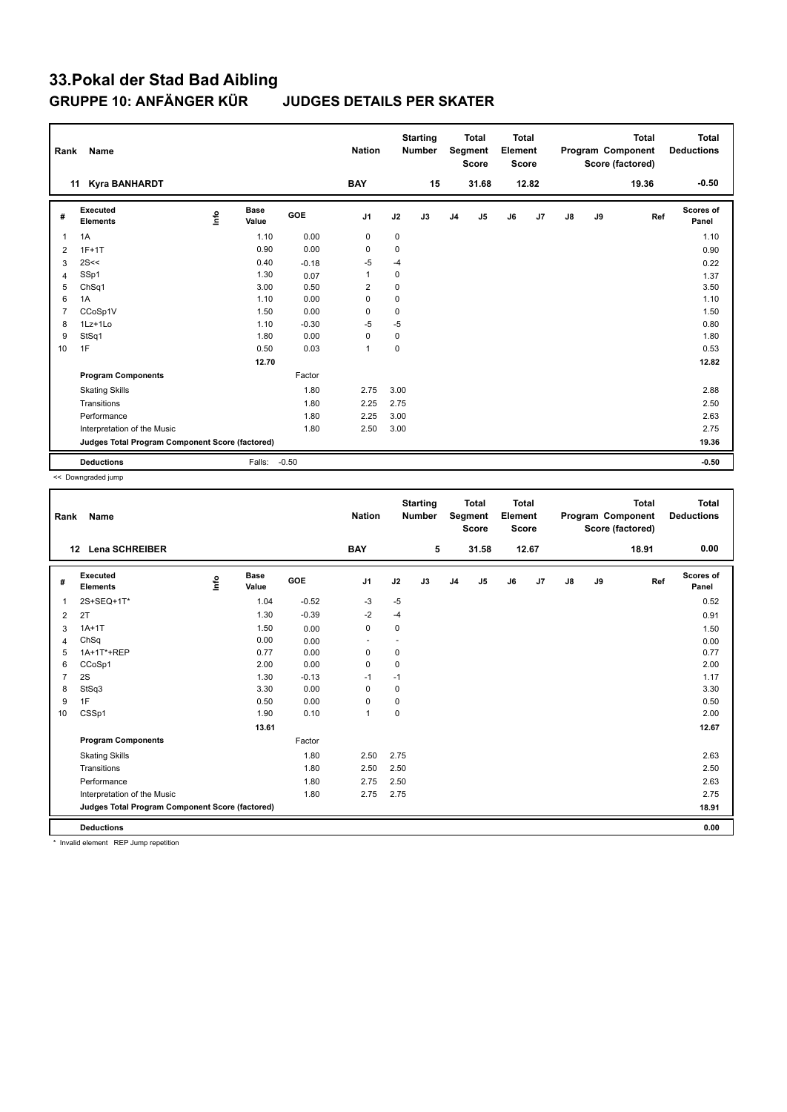| Rank           | Name                                            |      |                      |         | <b>Nation</b> |             | <b>Starting</b><br><b>Number</b> |                | <b>Total</b><br>Segment<br><b>Score</b> | <b>Total</b><br>Element<br><b>Score</b> |       |               |    | <b>Total</b><br>Program Component<br>Score (factored) | <b>Total</b><br><b>Deductions</b> |
|----------------|-------------------------------------------------|------|----------------------|---------|---------------|-------------|----------------------------------|----------------|-----------------------------------------|-----------------------------------------|-------|---------------|----|-------------------------------------------------------|-----------------------------------|
|                | <b>Kyra BANHARDT</b><br>11                      |      |                      |         | <b>BAY</b>    |             | 15                               |                | 31.68                                   |                                         | 12.82 |               |    | 19.36                                                 | $-0.50$                           |
| #              | Executed<br><b>Elements</b>                     | Info | <b>Base</b><br>Value | GOE     | J1            | J2          | J3                               | J <sub>4</sub> | J5                                      | J6                                      | J7    | $\mathsf{J}8$ | J9 | Ref                                                   | <b>Scores of</b><br>Panel         |
| 1              | 1A                                              |      | 1.10                 | 0.00    | 0             | 0           |                                  |                |                                         |                                         |       |               |    |                                                       | 1.10                              |
| 2              | $1F+1T$                                         |      | 0.90                 | 0.00    | 0             | 0           |                                  |                |                                         |                                         |       |               |    |                                                       | 0.90                              |
| 3              | 2S <                                            |      | 0.40                 | $-0.18$ | -5            | $-4$        |                                  |                |                                         |                                         |       |               |    |                                                       | 0.22                              |
| $\overline{4}$ | SSp1                                            |      | 1.30                 | 0.07    | 1             | 0           |                                  |                |                                         |                                         |       |               |    |                                                       | 1.37                              |
| 5              | ChSq1                                           |      | 3.00                 | 0.50    | 2             | 0           |                                  |                |                                         |                                         |       |               |    |                                                       | 3.50                              |
| 6              | 1A                                              |      | 1.10                 | 0.00    | 0             | $\mathbf 0$ |                                  |                |                                         |                                         |       |               |    |                                                       | 1.10                              |
| $\overline{7}$ | CCoSp1V                                         |      | 1.50                 | 0.00    | $\mathbf 0$   | 0           |                                  |                |                                         |                                         |       |               |    |                                                       | 1.50                              |
| 8              | 1Lz+1Lo                                         |      | 1.10                 | $-0.30$ | $-5$          | $-5$        |                                  |                |                                         |                                         |       |               |    |                                                       | 0.80                              |
| 9              | StSq1                                           |      | 1.80                 | 0.00    | 0             | $\mathbf 0$ |                                  |                |                                         |                                         |       |               |    |                                                       | 1.80                              |
| 10             | 1F                                              |      | 0.50                 | 0.03    | $\mathbf{1}$  | $\mathbf 0$ |                                  |                |                                         |                                         |       |               |    |                                                       | 0.53                              |
|                |                                                 |      | 12.70                |         |               |             |                                  |                |                                         |                                         |       |               |    |                                                       | 12.82                             |
|                | <b>Program Components</b>                       |      |                      | Factor  |               |             |                                  |                |                                         |                                         |       |               |    |                                                       |                                   |
|                | <b>Skating Skills</b>                           |      |                      | 1.80    | 2.75          | 3.00        |                                  |                |                                         |                                         |       |               |    |                                                       | 2.88                              |
|                | Transitions                                     |      |                      | 1.80    | 2.25          | 2.75        |                                  |                |                                         |                                         |       |               |    |                                                       | 2.50                              |
|                | Performance                                     |      |                      | 1.80    | 2.25          | 3.00        |                                  |                |                                         |                                         |       |               |    |                                                       | 2.63                              |
|                | Interpretation of the Music                     |      |                      | 1.80    | 2.50          | 3.00        |                                  |                |                                         |                                         |       |               |    |                                                       | 2.75                              |
|                | Judges Total Program Component Score (factored) |      |                      |         |               |             |                                  |                |                                         |                                         |       |               |    |                                                       | 19.36                             |
|                | <b>Deductions</b>                               |      | Falls:               | $-0.50$ |               |             |                                  |                |                                         |                                         |       |               |    |                                                       | $-0.50$                           |

<< Downgraded jump

| Rank           | <b>Name</b>                                     |      |                      |            | <b>Nation</b>  |             | <b>Starting</b><br><b>Number</b> |                | <b>Total</b><br>Segment<br><b>Score</b> | <b>Total</b><br>Element<br>Score |       |               |    | <b>Total</b><br>Program Component<br>Score (factored) | <b>Total</b><br><b>Deductions</b> |
|----------------|-------------------------------------------------|------|----------------------|------------|----------------|-------------|----------------------------------|----------------|-----------------------------------------|----------------------------------|-------|---------------|----|-------------------------------------------------------|-----------------------------------|
|                | 12 Lena SCHREIBER                               |      |                      |            | <b>BAY</b>     |             | 5                                |                | 31.58                                   |                                  | 12.67 |               |    | 18.91                                                 | 0.00                              |
| #              | <b>Executed</b><br><b>Elements</b>              | Info | <b>Base</b><br>Value | <b>GOE</b> | J <sub>1</sub> | J2          | J3                               | J <sub>4</sub> | J5                                      | J6                               | J7    | $\mathsf{J}8$ | J9 | Ref                                                   | <b>Scores of</b><br>Panel         |
| $\overline{1}$ | 2S+SEQ+1T*                                      |      | 1.04                 | $-0.52$    | -3             | $-5$        |                                  |                |                                         |                                  |       |               |    |                                                       | 0.52                              |
| 2              | 2T                                              |      | 1.30                 | $-0.39$    | $-2$           | $-4$        |                                  |                |                                         |                                  |       |               |    |                                                       | 0.91                              |
| 3              | $1A+1T$                                         |      | 1.50                 | 0.00       | $\pmb{0}$      | 0           |                                  |                |                                         |                                  |       |               |    |                                                       | 1.50                              |
| 4              | ChSq                                            |      | 0.00                 | 0.00       | ٠              | ٠           |                                  |                |                                         |                                  |       |               |    |                                                       | 0.00                              |
| 5              | 1A+1T*+REP                                      |      | 0.77                 | 0.00       | $\mathbf 0$    | 0           |                                  |                |                                         |                                  |       |               |    |                                                       | 0.77                              |
| 6              | CCoSp1                                          |      | 2.00                 | 0.00       | 0              | 0           |                                  |                |                                         |                                  |       |               |    |                                                       | 2.00                              |
| $\overline{7}$ | 2S                                              |      | 1.30                 | $-0.13$    | $-1$           | $-1$        |                                  |                |                                         |                                  |       |               |    |                                                       | 1.17                              |
| 8              | StSq3                                           |      | 3.30                 | 0.00       | 0              | $\mathbf 0$ |                                  |                |                                         |                                  |       |               |    |                                                       | 3.30                              |
| 9              | 1F                                              |      | 0.50                 | 0.00       | 0              | $\pmb{0}$   |                                  |                |                                         |                                  |       |               |    |                                                       | 0.50                              |
| 10             | CSSp1                                           |      | 1.90                 | 0.10       | $\mathbf{1}$   | $\mathbf 0$ |                                  |                |                                         |                                  |       |               |    |                                                       | 2.00                              |
|                |                                                 |      | 13.61                |            |                |             |                                  |                |                                         |                                  |       |               |    |                                                       | 12.67                             |
|                | <b>Program Components</b>                       |      |                      | Factor     |                |             |                                  |                |                                         |                                  |       |               |    |                                                       |                                   |
|                | <b>Skating Skills</b>                           |      |                      | 1.80       | 2.50           | 2.75        |                                  |                |                                         |                                  |       |               |    |                                                       | 2.63                              |
|                | Transitions                                     |      |                      | 1.80       | 2.50           | 2.50        |                                  |                |                                         |                                  |       |               |    |                                                       | 2.50                              |
|                | Performance                                     |      |                      | 1.80       | 2.75           | 2.50        |                                  |                |                                         |                                  |       |               |    |                                                       | 2.63                              |
|                | Interpretation of the Music                     |      |                      | 1.80       | 2.75           | 2.75        |                                  |                |                                         |                                  |       |               |    |                                                       | 2.75                              |
|                | Judges Total Program Component Score (factored) |      |                      |            |                |             |                                  |                |                                         |                                  |       |               |    |                                                       | 18.91                             |
|                | <b>Deductions</b>                               |      |                      |            |                |             |                                  |                |                                         |                                  |       |               |    |                                                       | 0.00                              |

\* Invalid element REP Jump repetition